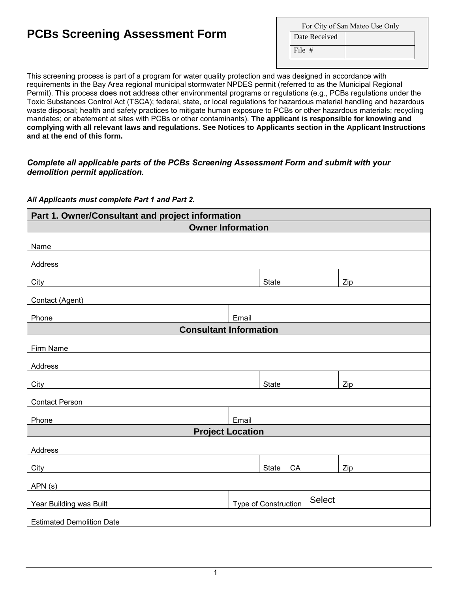## **PCBs Screening Assessment Form**

| For City of San Mateo Use Only |  |  |  |  |
|--------------------------------|--|--|--|--|
| Date Received                  |  |  |  |  |
| File $#$                       |  |  |  |  |

This screening process is part of a program for water quality protection and was designed in accordance with requirements in the Bay Area regional municipal stormwater NPDES permit (referred to as the Municipal Regional Permit). This process **does not** address other environmental programs or regulations (e.g., PCBs regulations under the Toxic Substances Control Act (TSCA); federal, state, or local regulations for hazardous material handling and hazardous waste disposal; health and safety practices to mitigate human exposure to PCBs or other hazardous materials; recycling mandates; or abatement at sites with PCBs or other contaminants). **The applicant is responsible for knowing and complying with all relevant laws and regulations. See Notices to Applicants section in the Applicant Instructions and at the end of this form.**

## *Complete all applicable parts of the PCBs Screening Assessment Form and submit with your demolition permit application.*

## *All Applicants must complete Part 1 and Part 2.*

| Part 1. Owner/Consultant and project information                                                                                                |                                              |              |     |  |  |  |
|-------------------------------------------------------------------------------------------------------------------------------------------------|----------------------------------------------|--------------|-----|--|--|--|
| <b>Owner Information</b>                                                                                                                        |                                              |              |     |  |  |  |
|                                                                                                                                                 |                                              |              |     |  |  |  |
| Name                                                                                                                                            |                                              |              |     |  |  |  |
| Address                                                                                                                                         |                                              |              |     |  |  |  |
| City                                                                                                                                            |                                              | <b>State</b> | Zip |  |  |  |
| Contact (Agent)<br><u> 1989 - Johann Barn, mars ann an t-Amhair an t-Amhair an t-Amhair an t-Amhair an t-Amhair an t-Amhair an t-Amh</u>        |                                              |              |     |  |  |  |
| Phone                                                                                                                                           | Email                                        |              |     |  |  |  |
| <b>Consultant Information</b>                                                                                                                   |                                              |              |     |  |  |  |
| Firm Name                                                                                                                                       |                                              |              |     |  |  |  |
|                                                                                                                                                 |                                              |              |     |  |  |  |
| Address                                                                                                                                         |                                              |              |     |  |  |  |
| City                                                                                                                                            |                                              | <b>State</b> | Zip |  |  |  |
| <b>Contact Person</b>                                                                                                                           |                                              |              |     |  |  |  |
| Phone                                                                                                                                           | Email                                        |              |     |  |  |  |
| <b>Project Location</b>                                                                                                                         |                                              |              |     |  |  |  |
|                                                                                                                                                 |                                              |              |     |  |  |  |
| Address                                                                                                                                         |                                              |              |     |  |  |  |
| City                                                                                                                                            |                                              | State<br>CA  | Zip |  |  |  |
| APN(s)<br><u> 1989 - Johann Stoff, deutscher Stoffen und der Stoffen und der Stoffen und der Stoffen und der Stoffen und der</u>                |                                              |              |     |  |  |  |
| Year Building was Built<br><u> 1980 - Jan Samuel Barbara, politik eta politik eta politik eta politik eta politik eta politik eta politik e</u> | <b>Select</b><br><b>Type of Construction</b> |              |     |  |  |  |
|                                                                                                                                                 |                                              |              |     |  |  |  |
| <b>Estimated Demolition Date</b>                                                                                                                |                                              |              |     |  |  |  |